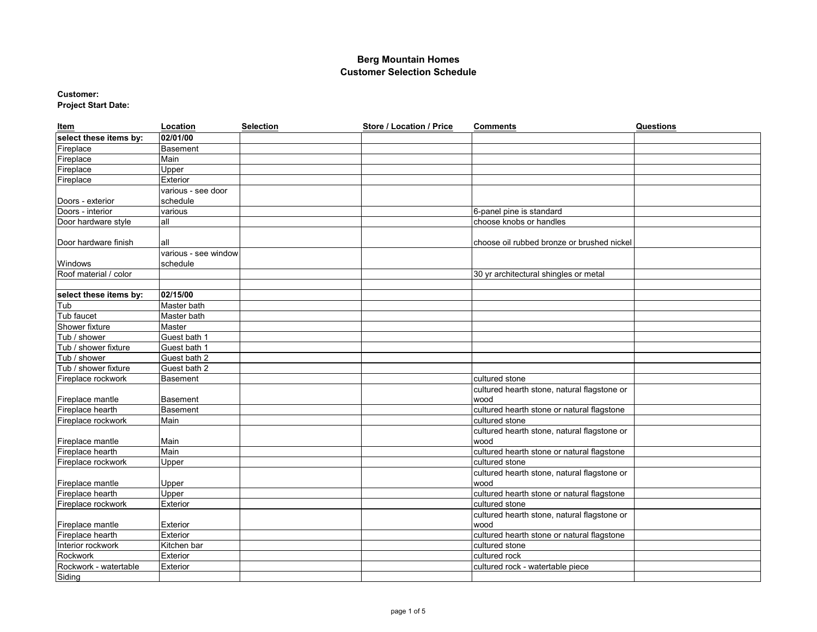# **Customer:**

**Project Start Date:**

| Item                   | Location             | <b>Selection</b> | Store / Location / Price | <b>Comments</b>                             | Questions |
|------------------------|----------------------|------------------|--------------------------|---------------------------------------------|-----------|
| select these items by: | 02/01/00             |                  |                          |                                             |           |
| Fireplace              | Basement             |                  |                          |                                             |           |
| Fireplace              | Main                 |                  |                          |                                             |           |
| Fireplace              | Upper                |                  |                          |                                             |           |
| Fireplace              | Exterior             |                  |                          |                                             |           |
|                        | various - see door   |                  |                          |                                             |           |
| Doors - exterior       | schedule             |                  |                          |                                             |           |
| Doors - interior       | various              |                  |                          | 6-panel pine is standard                    |           |
| Door hardware style    | all                  |                  |                          | choose knobs or handles                     |           |
|                        |                      |                  |                          |                                             |           |
| Door hardware finish   | all                  |                  |                          | choose oil rubbed bronze or brushed nickel  |           |
|                        | various - see window |                  |                          |                                             |           |
| Windows                | schedule             |                  |                          |                                             |           |
| Roof material / color  |                      |                  |                          | 30 yr architectural shingles or metal       |           |
|                        |                      |                  |                          |                                             |           |
| select these items by: | 02/15/00             |                  |                          |                                             |           |
| Tub                    | Master bath          |                  |                          |                                             |           |
| Tub faucet             | Master bath          |                  |                          |                                             |           |
| Shower fixture         | Master               |                  |                          |                                             |           |
| Tub / shower           | Guest bath 1         |                  |                          |                                             |           |
| Tub / shower fixture   | Guest bath 1         |                  |                          |                                             |           |
| Tub / shower           | Guest bath 2         |                  |                          |                                             |           |
| Tub / shower fixture   | Guest bath 2         |                  |                          |                                             |           |
| Fireplace rockwork     | Basement             |                  |                          | cultured stone                              |           |
|                        |                      |                  |                          | cultured hearth stone, natural flagstone or |           |
| Fireplace mantle       | <b>Basement</b>      |                  |                          | wood                                        |           |
| Fireplace hearth       | <b>Basement</b>      |                  |                          | cultured hearth stone or natural flagstone  |           |
| Fireplace rockwork     | Main                 |                  |                          | cultured stone                              |           |
|                        |                      |                  |                          | cultured hearth stone, natural flagstone or |           |
| Fireplace mantle       | Main                 |                  |                          | wood                                        |           |
| Fireplace hearth       | Main                 |                  |                          | cultured hearth stone or natural flagstone  |           |
| Fireplace rockwork     | Upper                |                  |                          | cultured stone                              |           |
|                        |                      |                  |                          | cultured hearth stone, natural flagstone or |           |
| Fireplace mantle       | Upper                |                  |                          | wood                                        |           |
| Fireplace hearth       | Upper                |                  |                          | cultured hearth stone or natural flagstone  |           |
| Fireplace rockwork     | Exterior             |                  |                          | cultured stone                              |           |
|                        |                      |                  |                          | cultured hearth stone, natural flagstone or |           |
| Fireplace mantle       | Exterior             |                  |                          | wood                                        |           |
| Fireplace hearth       | Exterior             |                  |                          | cultured hearth stone or natural flagstone  |           |
| Interior rockwork      | Kitchen bar          |                  |                          | cultured stone                              |           |
| Rockwork               | Exterior             |                  |                          | cultured rock                               |           |
| Rockwork - watertable  | Exterior             |                  |                          | cultured rock - watertable piece            |           |
| Siding                 |                      |                  |                          |                                             |           |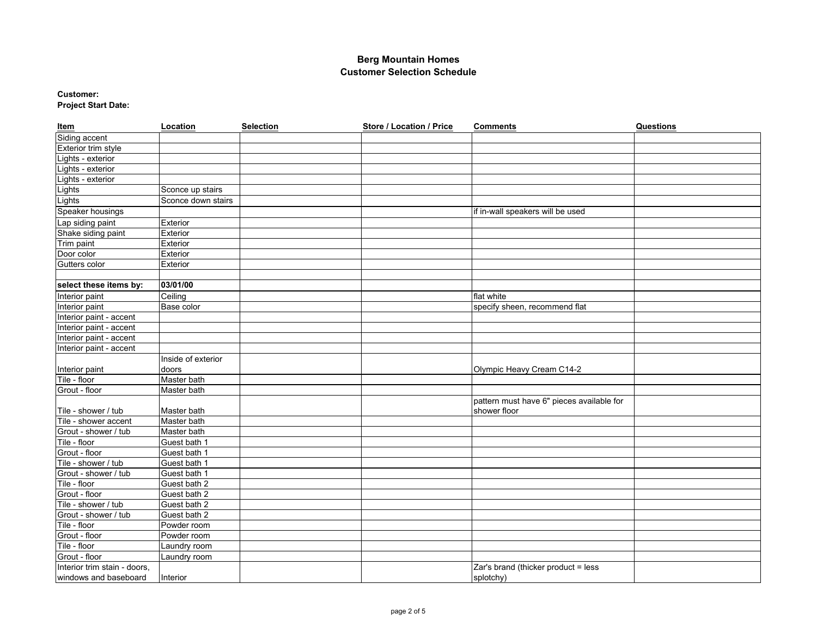#### **Customer: Project Start Date:**

| Item                         | Location           | <b>Selection</b> | Store / Location / Price | <b>Comments</b>                           | Questions |
|------------------------------|--------------------|------------------|--------------------------|-------------------------------------------|-----------|
| Siding accent                |                    |                  |                          |                                           |           |
| Exterior trim style          |                    |                  |                          |                                           |           |
| Lights - exterior            |                    |                  |                          |                                           |           |
| Lights - exterior            |                    |                  |                          |                                           |           |
| Lights - exterior            |                    |                  |                          |                                           |           |
| Lights                       | Sconce up stairs   |                  |                          |                                           |           |
| Lights                       | Sconce down stairs |                  |                          |                                           |           |
| Speaker housings             |                    |                  |                          | if in-wall speakers will be used          |           |
| Lap siding paint             | Exterior           |                  |                          |                                           |           |
| Shake siding paint           | Exterior           |                  |                          |                                           |           |
| Trim paint                   | Exterior           |                  |                          |                                           |           |
| Door color                   | Exterior           |                  |                          |                                           |           |
| Gutters color                | Exterior           |                  |                          |                                           |           |
|                              |                    |                  |                          |                                           |           |
| select these items by:       | 03/01/00           |                  |                          |                                           |           |
| Interior paint               | Ceiling            |                  |                          | flat white                                |           |
| Interior paint               | Base color         |                  |                          | specify sheen, recommend flat             |           |
| Interior paint - accent      |                    |                  |                          |                                           |           |
| Interior paint - accent      |                    |                  |                          |                                           |           |
| Interior paint - accent      |                    |                  |                          |                                           |           |
| Interior paint - accent      |                    |                  |                          |                                           |           |
|                              | Inside of exterior |                  |                          |                                           |           |
| Interior paint               | doors              |                  |                          | Olympic Heavy Cream C14-2                 |           |
| Tile - floor                 | Master bath        |                  |                          |                                           |           |
| Grout - floor                | Master bath        |                  |                          |                                           |           |
|                              |                    |                  |                          | pattern must have 6" pieces available for |           |
| Tile - shower / tub          | Master bath        |                  |                          | shower floor                              |           |
| Tile - shower accent         | Master bath        |                  |                          |                                           |           |
| Grout - shower / tub         | Master bath        |                  |                          |                                           |           |
| Tile - floor                 | Guest bath 1       |                  |                          |                                           |           |
| Grout - floor                | Guest bath 1       |                  |                          |                                           |           |
| Tile - shower / tub          | Guest bath 1       |                  |                          |                                           |           |
| Grout - shower / tub         | Guest bath 1       |                  |                          |                                           |           |
| Tile - floor                 | Guest bath 2       |                  |                          |                                           |           |
| Grout - floor                | Guest bath 2       |                  |                          |                                           |           |
| Tile - shower / tub          | Guest bath 2       |                  |                          |                                           |           |
| Grout - shower / tub         | Guest bath 2       |                  |                          |                                           |           |
| Tile - floor                 | Powder room        |                  |                          |                                           |           |
| Grout - floor                | Powder room        |                  |                          |                                           |           |
| Tile - floor                 | Laundry room       |                  |                          |                                           |           |
| Grout - floor                | Laundry room       |                  |                          |                                           |           |
| Interior trim stain - doors, |                    |                  |                          | Zar's brand (thicker product = less       |           |
| windows and baseboard        | Interior           |                  |                          | splotchy)                                 |           |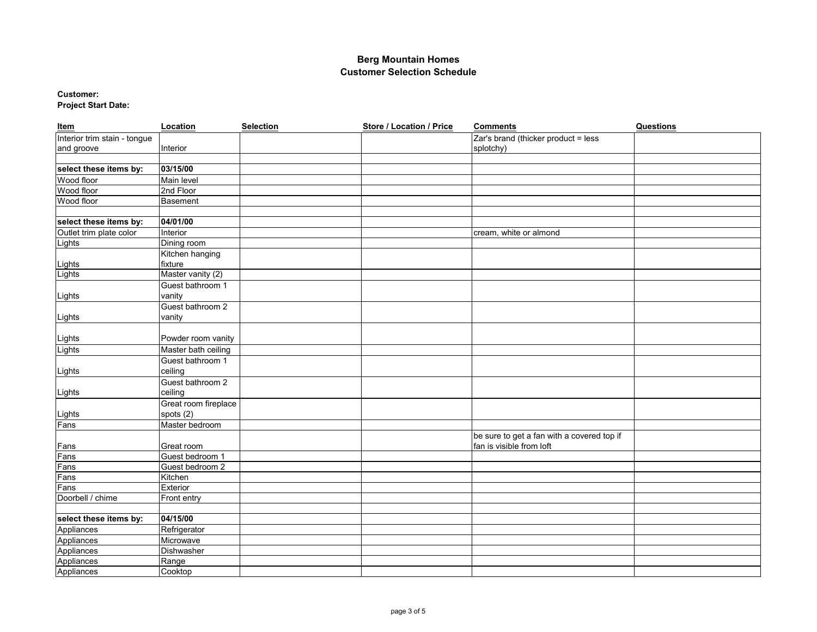## **Customer:**

**Project Start Date:**

| Item                         | Location             | <b>Selection</b> | Store / Location / Price | <b>Comments</b>                            | <b>Questions</b> |
|------------------------------|----------------------|------------------|--------------------------|--------------------------------------------|------------------|
| Interior trim stain - tongue |                      |                  |                          | Zar's brand (thicker product = less        |                  |
| and groove                   | Interior             |                  |                          | splotchy)                                  |                  |
|                              |                      |                  |                          |                                            |                  |
| select these items by:       | 03/15/00             |                  |                          |                                            |                  |
| Wood floor                   | Main level           |                  |                          |                                            |                  |
| Wood floor                   | 2nd Floor            |                  |                          |                                            |                  |
| Wood floor                   | <b>Basement</b>      |                  |                          |                                            |                  |
|                              |                      |                  |                          |                                            |                  |
| select these items by:       | 04/01/00             |                  |                          |                                            |                  |
| Outlet trim plate color      | Interior             |                  |                          | cream, white or almond                     |                  |
| Lights                       | Dining room          |                  |                          |                                            |                  |
|                              | Kitchen hanging      |                  |                          |                                            |                  |
| Lights                       | fixture              |                  |                          |                                            |                  |
| Lights                       | Master vanity (2)    |                  |                          |                                            |                  |
|                              | Guest bathroom 1     |                  |                          |                                            |                  |
| Lights                       | vanity               |                  |                          |                                            |                  |
|                              | Guest bathroom 2     |                  |                          |                                            |                  |
| Lights                       | vanity               |                  |                          |                                            |                  |
|                              |                      |                  |                          |                                            |                  |
| Lights                       | Powder room vanity   |                  |                          |                                            |                  |
| Lights                       | Master bath ceiling  |                  |                          |                                            |                  |
|                              | Guest bathroom 1     |                  |                          |                                            |                  |
| Lights                       | ceiling              |                  |                          |                                            |                  |
|                              | Guest bathroom 2     |                  |                          |                                            |                  |
| Lights                       | ceiling              |                  |                          |                                            |                  |
|                              | Great room fireplace |                  |                          |                                            |                  |
| Lights                       | spots (2)            |                  |                          |                                            |                  |
| Fans                         | Master bedroom       |                  |                          |                                            |                  |
|                              |                      |                  |                          | be sure to get a fan with a covered top if |                  |
|                              | Great room           |                  |                          | fan is visible from loft                   |                  |
| Fans<br>Fans                 | Guest bedroom 1      |                  |                          |                                            |                  |
| Fans                         | Guest bedroom 2      |                  |                          |                                            |                  |
| Fans                         | Kitchen              |                  |                          |                                            |                  |
| Fans                         | Exterior             |                  |                          |                                            |                  |
| Doorbell / chime             | Front entry          |                  |                          |                                            |                  |
|                              |                      |                  |                          |                                            |                  |
| select these items by:       | 04/15/00             |                  |                          |                                            |                  |
| Appliances                   | Refrigerator         |                  |                          |                                            |                  |
| Appliances                   | Microwave            |                  |                          |                                            |                  |
| Appliances                   | Dishwasher           |                  |                          |                                            |                  |
| Appliances                   | Range                |                  |                          |                                            |                  |
| Appliances                   | Cooktop              |                  |                          |                                            |                  |
|                              |                      |                  |                          |                                            |                  |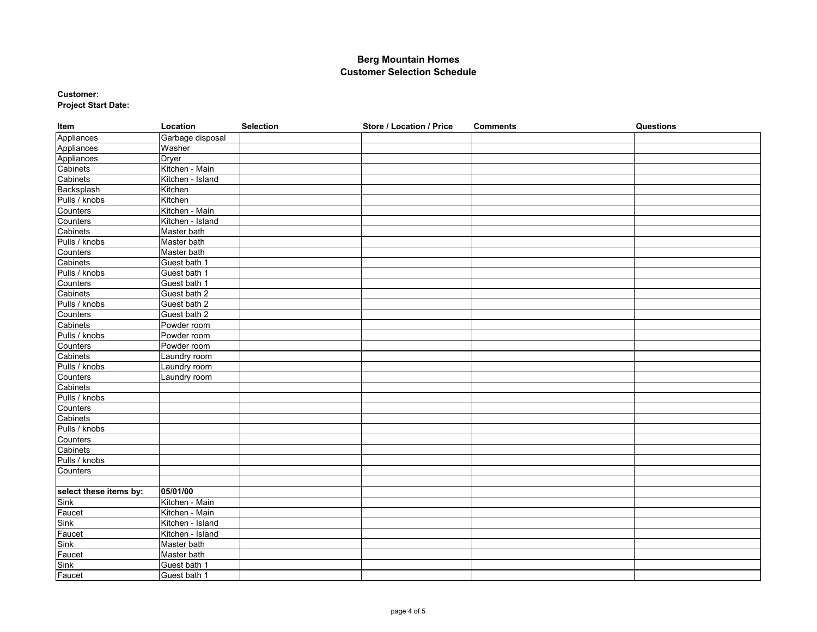#### **Customer: Project Start Date:**

| Item                     | Location         | <b>Selection</b> | <b>Store / Location / Price</b> | <b>Comments</b> | <b>Questions</b> |
|--------------------------|------------------|------------------|---------------------------------|-----------------|------------------|
| Appliances               | Garbage disposal |                  |                                 |                 |                  |
| Appliances<br>Appliances | Washer           |                  |                                 |                 |                  |
|                          | <b>Dryer</b>     |                  |                                 |                 |                  |
| Cabinets                 | Kitchen - Main   |                  |                                 |                 |                  |
| Cabinets                 | Kitchen - Island |                  |                                 |                 |                  |
| Backsplash               | Kitchen          |                  |                                 |                 |                  |
| Pulls / knobs            | Kitchen          |                  |                                 |                 |                  |
| Counters                 | Kitchen - Main   |                  |                                 |                 |                  |
| Counters                 | Kitchen - Island |                  |                                 |                 |                  |
| Cabinets                 | Master bath      |                  |                                 |                 |                  |
| Pulls / knobs            | Master bath      |                  |                                 |                 |                  |
| Counters                 | Master bath      |                  |                                 |                 |                  |
| Cabinets                 | Guest bath 1     |                  |                                 |                 |                  |
| Pulls / knobs            | Guest bath 1     |                  |                                 |                 |                  |
| Counters                 | Guest bath 1     |                  |                                 |                 |                  |
| Cabinets                 | Guest bath 2     |                  |                                 |                 |                  |
| Pulls / knobs            | Guest bath 2     |                  |                                 |                 |                  |
| Counters                 | Guest bath 2     |                  |                                 |                 |                  |
| Cabinets                 | Powder room      |                  |                                 |                 |                  |
| Pulls / knobs            | Powder room      |                  |                                 |                 |                  |
| Counters                 | Powder room      |                  |                                 |                 |                  |
| Cabinets                 | Laundry room     |                  |                                 |                 |                  |
| Pulls / knobs            | Laundry room     |                  |                                 |                 |                  |
| Counters                 | Laundry room     |                  |                                 |                 |                  |
| Cabinets                 |                  |                  |                                 |                 |                  |
| Pulls / knobs            |                  |                  |                                 |                 |                  |
| Counters                 |                  |                  |                                 |                 |                  |
| Cabinets                 |                  |                  |                                 |                 |                  |
| Pulls / knobs            |                  |                  |                                 |                 |                  |
| Counters                 |                  |                  |                                 |                 |                  |
| Cabinets                 |                  |                  |                                 |                 |                  |
| Pulls / knobs            |                  |                  |                                 |                 |                  |
| Counters                 |                  |                  |                                 |                 |                  |
|                          |                  |                  |                                 |                 |                  |
| select these items by:   | 05/01/00         |                  |                                 |                 |                  |
| Sink                     | Kitchen - Main   |                  |                                 |                 |                  |
| Faucet                   | Kitchen - Main   |                  |                                 |                 |                  |
| Sink                     | Kitchen - Island |                  |                                 |                 |                  |
| Faucet                   | Kitchen - Island |                  |                                 |                 |                  |
| Sink                     | Master bath      |                  |                                 |                 |                  |
| Faucet                   | Master bath      |                  |                                 |                 |                  |
| Sink                     | Guest bath 1     |                  |                                 |                 |                  |
| Faucet                   | Guest bath 1     |                  |                                 |                 |                  |
|                          |                  |                  |                                 |                 |                  |